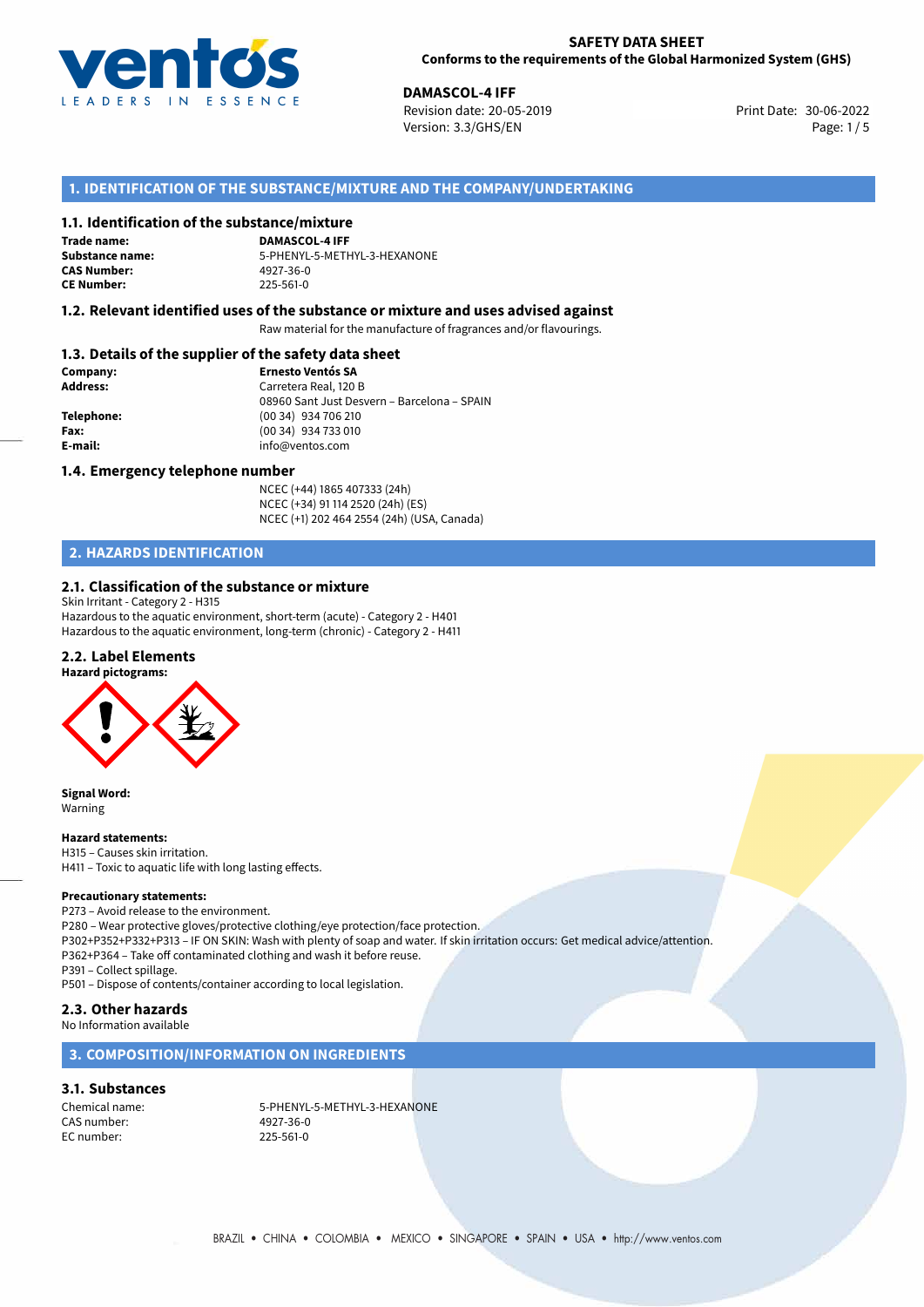

**DAMASCOL-4 IFF**<br>30-06-2022 **Revision date: 20-05-2019** Print Date: 30-06-2022 Version: 3.3/GHS/EN Page: 1/5

# **1. IDENTIFICATION OF THE SUBSTANCE/MIXTURE AND THE COMPANY/UNDERTAKING**

### **1.1. Identification of the substance/mixture**

**Trade name: CAS Number: CE Number:** 225-561-0

**DAMASCOL-4 IFF Substance name:** 5-PHENYL-5-METHYL-3-HEXANONE

### **1.2. Relevant identified uses of the substance or mixture and uses advised against**

Raw material for the manufacture of fragrances and/or flavourings.

# **1.3. Details of the supplier of the safety data sheet**

| Company:   | <b>Ernesto Ventós SA</b>                    |
|------------|---------------------------------------------|
| Address:   | Carretera Real, 120 B                       |
|            | 08960 Sant Just Desvern - Barcelona - SPAIN |
| Telephone: | (00 34) 934 706 210                         |
| Fax:       | (00 34) 934 733 010                         |
| E-mail:    | info@ventos.com                             |
|            |                                             |

### **1.4. Emergency telephone number**

NCEC (+44) 1865 407333 (24h) NCEC (+34) 91 114 2520 (24h) (ES) NCEC (+1) 202 464 2554 (24h) (USA, Canada)

# **2. HAZARDS IDENTIFICATION**

### **2.1. Classification of the substance or mixture**

Skin Irritant - Category 2 - H315 Hazardous to the aquatic environment, short-term (acute) - Category 2 - H401 Hazardous to the aquatic environment, long-term (chronic) - Category 2 - H411

### **2.2. Label Elements**





**Signal Word:** Warning

### **Hazard statements:**

H315 – Causes skin irritation. H411 – Toxic to aquatic life with long lasting effects.

### **Precautionary statements:**

P273 – Avoid release to the environment. P280 – Wear protective gloves/protective clothing/eye protection/face protection. P302+P352+P332+P313 – IF ON SKIN: Wash with plenty of soap and water. If skin irritation occurs: Get medical advice/attention. P362+P364 – Take off contaminated clothing and wash it before reuse. P391 – Collect spillage.

P501 – Dispose of contents/container according to local legislation.

# **2.3. Other hazards**

No Information available

### **3. COMPOSITION/INFORMATION ON INGREDIENTS**

## **3.1. Substances**

CAS number: 4927-36-0 EC number:

Chemical name: 5-PHENYL-5-METHYL-3-HEXANONE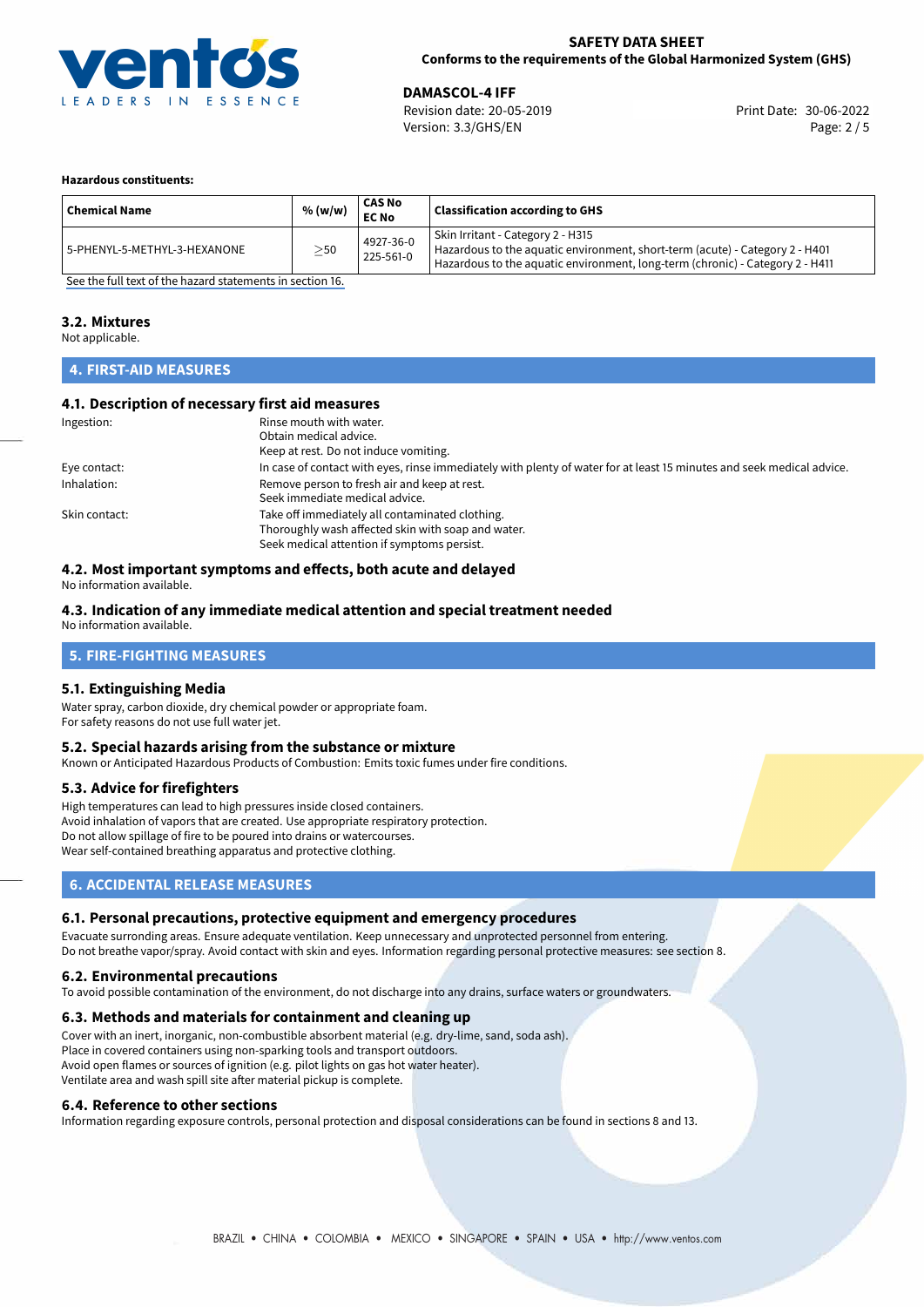

30-06-2022 **DAMASCOL-4 IFF** Revision date: 20-05-2019 Print Date: Version: 3.3/GHS/EN Page: 2 / 5

### **Hazardous constituents:**

| <b>Chemical Name</b>         | % (w/w)   | <b>CAS No</b><br><b>EC No</b> | <b>Classification according to GHS</b>                                                                                                                                                             |
|------------------------------|-----------|-------------------------------|----------------------------------------------------------------------------------------------------------------------------------------------------------------------------------------------------|
| 5-PHENYL-5-METHYL-3-HEXANONE | $\geq$ 50 | 4927-36-0<br>225-561-0        | Skin Irritant - Category 2 - H315<br>Hazardous to the aquatic environment, short-term (acute) - Category 2 - H401<br>Hazardous to the aquatic environment, long-term (chronic) - Category 2 - H411 |

[See the full text of the hazard statements in section 16.](#page-4-0)

### **3.2. Mixtures**

Not applicable.

### **4. FIRST-AID MEASURES**

### **4.1. Description of necessary first aid measures**

| Ingestion:    | Rinse mouth with water.                                                                                               |
|---------------|-----------------------------------------------------------------------------------------------------------------------|
|               | Obtain medical advice.                                                                                                |
|               | Keep at rest. Do not induce vomiting.                                                                                 |
| Eye contact:  | In case of contact with eyes, rinse immediately with plenty of water for at least 15 minutes and seek medical advice. |
| Inhalation:   | Remove person to fresh air and keep at rest.                                                                          |
|               | Seek immediate medical advice.                                                                                        |
| Skin contact: | Take off immediately all contaminated clothing.                                                                       |
|               | Thoroughly wash affected skin with soap and water.                                                                    |
|               | Seek medical attention if symptoms persist.                                                                           |

# **4.2. Most important symptoms and effects, both acute and delayed**

No information available.

### **4.3. Indication of any immediate medical attention and special treatment needed**

No information available.

### **5. FIRE-FIGHTING MEASURES**

### **5.1. Extinguishing Media**

Water spray, carbon dioxide, dry chemical powder or appropriate foam. For safety reasons do not use full water jet.

### **5.2. Special hazards arising from the substance or mixture**

Known or Anticipated Hazardous Products of Combustion: Emits toxic fumes under fire conditions.

### **5.3. Advice for firefighters**

High temperatures can lead to high pressures inside closed containers. Avoid inhalation of vapors that are created. Use appropriate respiratory protection. Do not allow spillage of fire to be poured into drains or watercourses. Wear self-contained breathing apparatus and protective clothing.

## **6. ACCIDENTAL RELEASE MEASURES**

### **6.1. Personal precautions, protective equipment and emergency procedures**

Evacuate surronding areas. Ensure adequate ventilation. Keep unnecessary and unprotected personnel from entering. Do not breathe vapor/spray. Avoid contact with skin and eyes. Information regarding personal protective measures: see section 8.

### **6.2. Environmental precautions**

To avoid possible contamination of the environment, do not discharge into any drains, surface waters or groundwaters.

### **6.3. Methods and materials for containment and cleaning up**

Cover with an inert, inorganic, non-combustible absorbent material (e.g. dry-lime, sand, soda ash). Place in covered containers using non-sparking tools and transport outdoors. Avoid open flames or sources of ignition (e.g. pilot lights on gas hot water heater). Ventilate area and wash spill site after material pickup is complete.

### **6.4. Reference to other sections**

Information regarding exposure controls, personal protection and disposal considerations can be found in sections 8 and 13.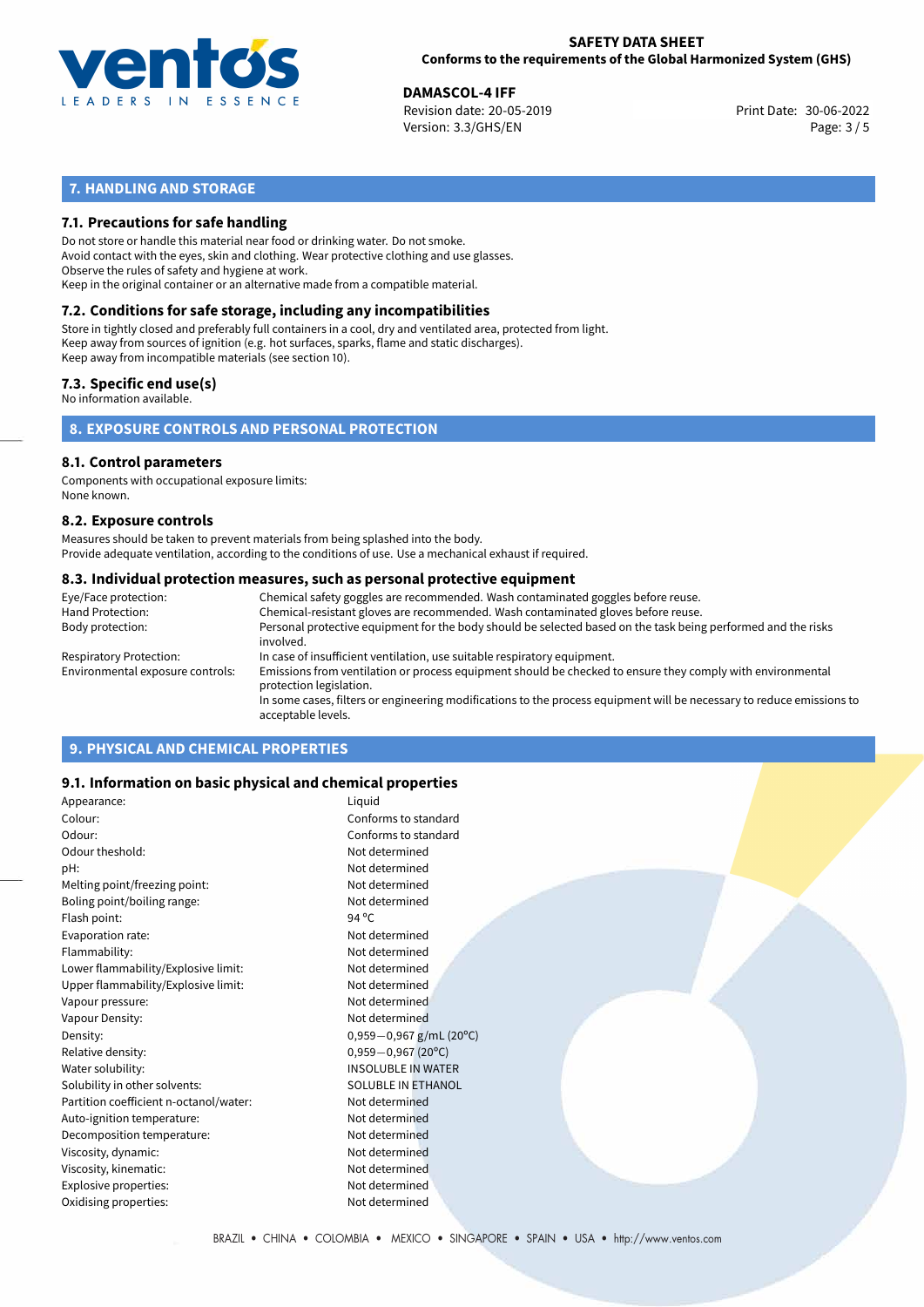

30-06-2022 **DAMASCOL-4 IFF** Revision date: 20-05-2019 Print Date: Version: 3.3/GHS/EN Page: 3 / 5

# **7. HANDLING AND STORAGE**

## **7.1. Precautions for safe handling**

Do not store or handle this material near food or drinking water. Do not smoke. Avoid contact with the eyes, skin and clothing. Wear protective clothing and use glasses. Observe the rules of safety and hygiene at work. Keep in the original container or an alternative made from a compatible material.

# **7.2. Conditions for safe storage, including any incompatibilities**

Store in tightly closed and preferably full containers in a cool, dry and ventilated area, protected from light. Keep away from sources of ignition (e.g. hot surfaces, sparks, flame and static discharges). Keep away from incompatible materials (see section 10).

## **7.3. Specific end use(s)**

No information available.

**8. EXPOSURE CONTROLS AND PERSONAL PROTECTION**

# **8.1. Control parameters**

Components with occupational exposure limits: None known.

### **8.2. Exposure controls**

Measures should be taken to prevent materials from being splashed into the body. Provide adequate ventilation, according to the conditions of use. Use a mechanical exhaust if required.

### **8.3. Individual protection measures, such as personal protective equipment**

| Eye/Face protection:             | Chemical safety goggles are recommended. Wash contaminated goggles before reuse.                                                            |
|----------------------------------|---------------------------------------------------------------------------------------------------------------------------------------------|
| Hand Protection:                 | Chemical-resistant gloves are recommended. Wash contaminated gloves before reuse.                                                           |
| Body protection:                 | Personal protective equipment for the body should be selected based on the task being performed and the risks<br>involved.                  |
| Respiratory Protection:          | In case of insufficient ventilation, use suitable respiratory equipment.                                                                    |
| Environmental exposure controls: | Emissions from ventilation or process equipment should be checked to ensure they comply with environmental<br>protection legislation.       |
|                                  | In some cases, filters or engineering modifications to the process equipment will be necessary to reduce emissions to<br>acceptable levels. |
|                                  |                                                                                                                                             |

# **9. PHYSICAL AND CHEMICAL PROPERTIES**

### **9.1. Information on basic physical and chemical properties**

| Appearance:                            | Liquid                    |
|----------------------------------------|---------------------------|
| Colour:                                | Conforms to standard      |
| Odour:                                 | Conforms to standard      |
| Odour theshold:                        | Not determined            |
| pH:                                    | Not determined            |
| Melting point/freezing point:          | Not determined            |
| Boling point/boiling range:            | Not determined            |
| Flash point:                           | 94 $^{\circ}$ C           |
| Evaporation rate:                      | Not determined            |
| Flammability:                          | Not determined            |
| Lower flammability/Explosive limit:    | Not determined            |
| Upper flammability/Explosive limit:    | Not determined            |
| Vapour pressure:                       | Not determined            |
| Vapour Density:                        | Not determined            |
| Density:                               | $0,959-0,967$ g/mL (20°C) |
| Relative density:                      | $0,959 - 0,967$ (20°C)    |
| Water solubility:                      | <b>INSOLUBLE IN WATER</b> |
| Solubility in other solvents:          | SOLUBLE IN ETHANOL        |
| Partition coefficient n-octanol/water: | Not determined            |
| Auto-ignition temperature:             | Not determined            |
| Decomposition temperature:             | Not determined            |
| Viscosity, dynamic:                    | Not determined            |
| Viscosity, kinematic:                  | Not determined            |
| Explosive properties:                  | Not determined            |
| Oxidising properties:                  | Not determined            |
|                                        |                           |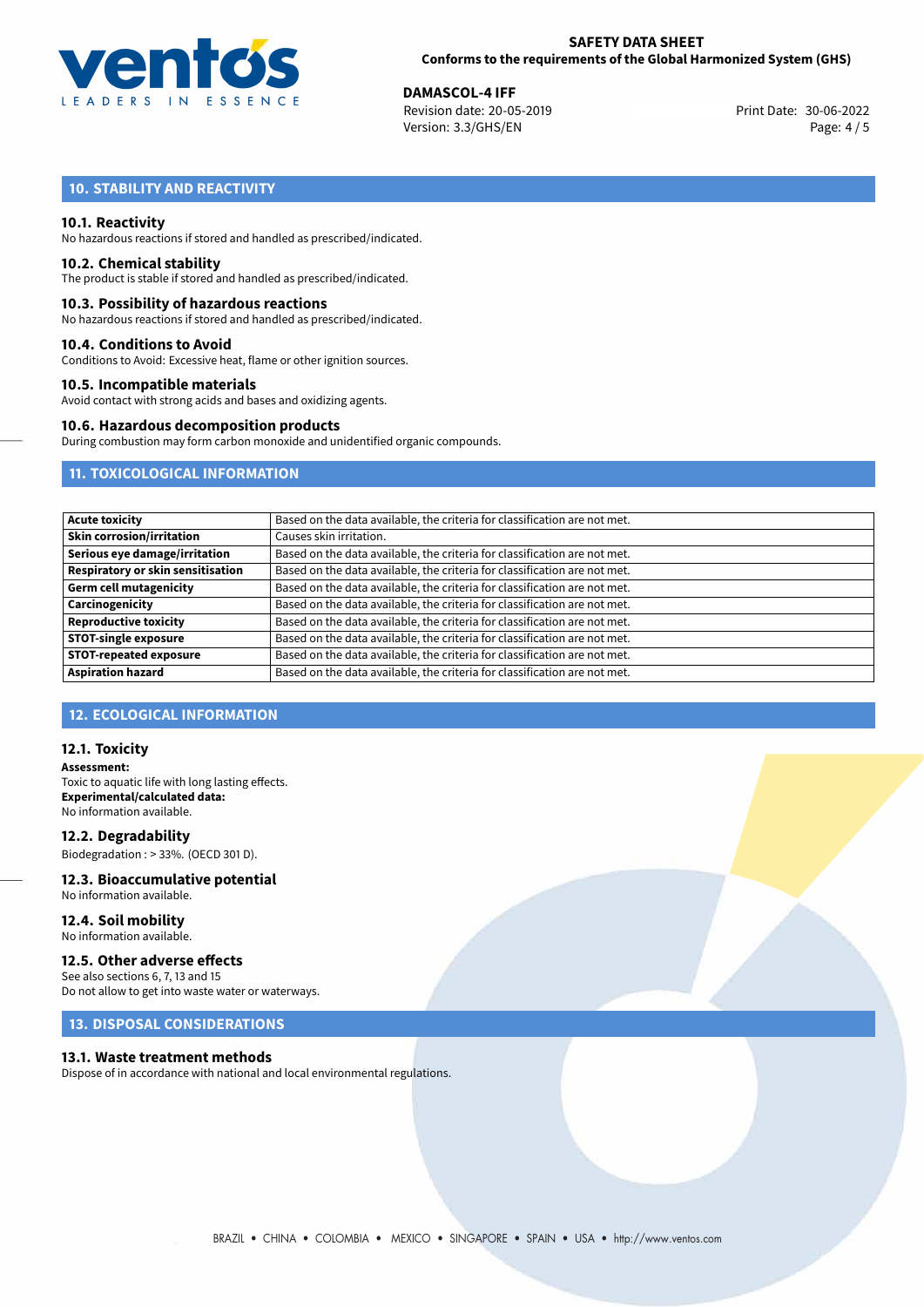

30-06-2022 **DAMASCOL-4 IFF** Revision date: 20-05-2019 Print Date: Version: 3.3/GHS/EN Page: 4/5

# **10. STABILITY AND REACTIVITY**

### **10.1. Reactivity**

No hazardous reactions if stored and handled as prescribed/indicated.

### **10.2. Chemical stability**

The product is stable if stored and handled as prescribed/indicated.

### **10.3. Possibility of hazardous reactions**

No hazardous reactions if stored and handled as prescribed/indicated.

### **10.4. Conditions to Avoid**

Conditions to Avoid: Excessive heat, flame or other ignition sources.

### **10.5. Incompatible materials**

Avoid contact with strong acids and bases and oxidizing agents.

### **10.6. Hazardous decomposition products**

During combustion may form carbon monoxide and unidentified organic compounds.

# **11. TOXICOLOGICAL INFORMATION**

| <b>Acute toxicity</b>             | Based on the data available, the criteria for classification are not met. |
|-----------------------------------|---------------------------------------------------------------------------|
| <b>Skin corrosion/irritation</b>  | Causes skin irritation.                                                   |
| Serious eye damage/irritation     | Based on the data available, the criteria for classification are not met. |
| Respiratory or skin sensitisation | Based on the data available, the criteria for classification are not met. |
| <b>Germ cell mutagenicity</b>     | Based on the data available, the criteria for classification are not met. |
| Carcinogenicity                   | Based on the data available, the criteria for classification are not met. |
| <b>Reproductive toxicity</b>      | Based on the data available, the criteria for classification are not met. |
| <b>STOT-single exposure</b>       | Based on the data available, the criteria for classification are not met. |
| <b>STOT-repeated exposure</b>     | Based on the data available, the criteria for classification are not met. |
| <b>Aspiration hazard</b>          | Based on the data available, the criteria for classification are not met. |

## **12. ECOLOGICAL INFORMATION**

### **12.1. Toxicity**

**Assessment:** Toxic to aquatic life with long lasting effects. **Experimental/calculated data:** No information available.

**12.2. Degradability** Biodegradation : > 33%. (OECD 301 D).

### **12.3. Bioaccumulative potential** No information available.

**12.4. Soil mobility** No information available.

# **12.5. Other adverse effects**

See also sections 6, 7, 13 and 15 Do not allow to get into waste water or waterways.

### **13. DISPOSAL CONSIDERATIONS**

### **13.1. Waste treatment methods**

Dispose of in accordance with national and local environmental regulations.